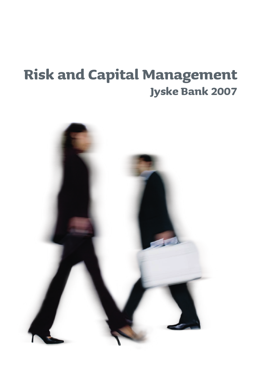# **Risk and Capital Management Jyske Bank 2007**

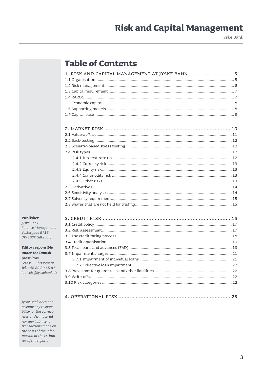Jyske Bank

### **Table of Contents**

| 1. RISK AND CAPITAL MANAGEMENT AT JYSKE BANK 5 |  |
|------------------------------------------------|--|
|                                                |  |
|                                                |  |
|                                                |  |
|                                                |  |
|                                                |  |
|                                                |  |
|                                                |  |

#### Publisher

Jyske Bank Finance Management Vestergade 8/16 DK-8600 Silkeborg

**Editor responsible** under the Danish press law:

Louise F. Christensen Tel. +45 89 89 65 81 louisefc@jyskebank.dk

Jyske Bank does not assume any responsibility for the correctness of the material nor any liability for transactions made on the basis of the information or the estimates of the report.

|--|--|--|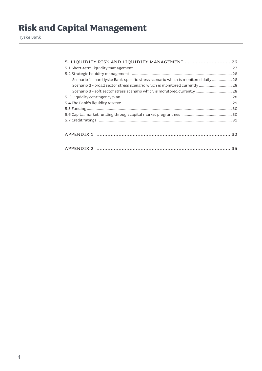Jyske Bank

| 5. LIQUIDITY RISK AND LIQUIDITY MANAGEMENT  26                                     |  |
|------------------------------------------------------------------------------------|--|
|                                                                                    |  |
|                                                                                    |  |
| Scenario 1 - hard Jyske Bank-specific stress scenario which is monitored daily  28 |  |
| Scenario 2 - broad sector stress scenario which is monitored currently 28          |  |
| Scenario 3 - soft sector stress scenario which is monitored currently  28          |  |
|                                                                                    |  |
|                                                                                    |  |
|                                                                                    |  |
|                                                                                    |  |
|                                                                                    |  |
|                                                                                    |  |
|                                                                                    |  |
|                                                                                    |  |
|                                                                                    |  |
|                                                                                    |  |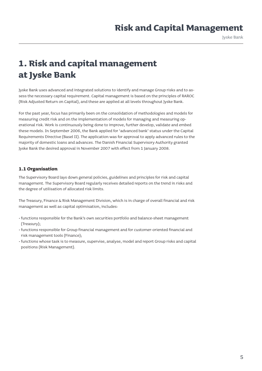Jyske Bank

### **1. Risk and capital management at Jyske Bank**

Jyske Bank uses advanced and integrated solutions to identify and manage Group risks and to assess the necessary capital requirement. Capital management is based on the principles of RAROC (Risk Adjusted Return on Capital), and these are applied at all levels throughout Jyske Bank.

For the past year, focus has primarily been on the consolidation of methodologies and models for measuring credit risk and on the implementation of models for managing and measuring operational risk. Work is continuously being done to improve, further develop, validate and embed these models. In September 2006, the Bank applied for 'advanced bank' status under the Capital Requirements Directive (Basel II). The application was for approval to apply advanced rules to the majority of domestic loans and advances. The Danish Financial Supervisory Authority granted Jyske Bank the desired approval in November 2007 with effect from 1 January 2008.

#### **1.1 Organisation**

The Supervisory Board lays down general policies, guidelines and principles for risk and capital management. The Supervisory Board regularly receives detailed reports on the trend in risks and the degree of utilisation of allocated risk limits.

The Treasury, Finance & Risk Management Division, which is in charge of overall financial and risk management as well as capital optimisation, includes:

- functions responsible for the Bank's own securities portfolio and balance-sheet management (Treasury);
- functions responsible for Group financial management and for customer-oriented financial and risk management tools (Finance);
- functions whose task is to measure, supervise, analyse, model and report Group risks and capital positions (Risk Management).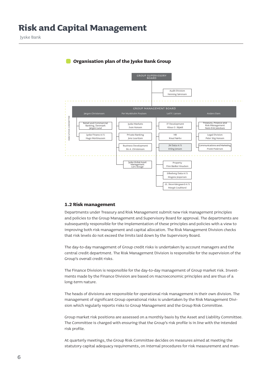

#### **Organisation plan of the Jyske Bank Group**

#### **1.2 Risk management**

Departments under Treasury and Risk Management submit new risk management principles and policies to the Group Management and Supervisory Board for approval. The departments are subsequently responsible for the implementation of these principles and policies with a view to improving both risk management and capital allocation. The Risk Management Division checks that risk levels do not exceed the limits laid down by the Supervisory Board.

The day-to-day management of Group credit risks is undertaken by account managers and the central credit department. The Risk Management Division is responsible for the supervision of the Group's overall credit risks.

The Finance Division is responsible for the day-to-day management of Group market risk. Investments made by the Finance Division are based on macroeconomic principles and are thus of a long-term nature.

The heads of divisions are responsible for operational risk management in their own division. The management of significant Group operational risks is undertaken by the Risk Management Division which regularly reports risks to Group Management and the Group Risk Committee.

Group market risk positions are assessed on a monthly basis by the Asset and Liability Committee. The Committee is charged with ensuring that the Group's risk profile is in line with the intended risk profile.

At quarterly meetings, the Group Risk Committee decides on measures aimed at meeting the statutory capital adequacy requirements, on internal procedures for risk measurement and man-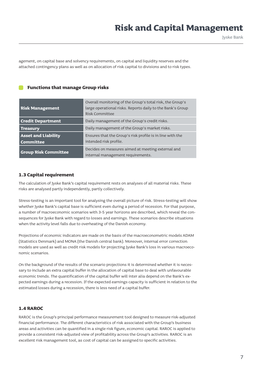Jyske Bank

agement, on capital base and solvency requirements, on capital and liquidity reserves and the attached contingency plans as well as on allocation of risk capital to divisions and to risk types.

#### **Functions that manage Group risks**

| <b>Risk Management</b>                                                                                                                | Overall monitoring of the Group's total risk, the Group's<br>large operational risks. Reports daily to the Bank's Group<br>Risk Committee |
|---------------------------------------------------------------------------------------------------------------------------------------|-------------------------------------------------------------------------------------------------------------------------------------------|
| <b>Credit Department</b>                                                                                                              | Daily management of the Group's credit risks.                                                                                             |
| <b>Treasury</b>                                                                                                                       | Daily management of the Group's market risks.                                                                                             |
| <b>Asset and Liability</b><br>Ensures that the Group's risk profile is in line with the<br>intended risk profile.<br><b>Committee</b> |                                                                                                                                           |
| <b>Group Risk Committee</b>                                                                                                           | Decides on measures aimed at meeting external and<br>internal management requirements.                                                    |

#### **1.3 Capital requirement**

The calculation of Jyske Bank's capital requirement rests on analyses of all material risks. These risks are analysed partly independently, partly collectively.

Stress-testing is an important tool for analysing the overall picture of risk. Stress-testing will show whether Jyske Bank's capital base is sufficient even during a period of recession. For that purpose, a number of macroeconomic scenarios with 3-5 year horizons are described, which reveal the consequences for Jyske Bank with regard to losses and earnings. These scenarios describe situations when the activity level falls due to overheating of the Danish economy.

Projections of economic indicators are made on the basis of the macroeconometric models ADAM (Statistics Denmark) and MONA (the Danish central bank). Moreover, internal error correction models are used as well as credit risk models for projecting Jyske Bank's loss in various macroeconomic scenarios.

On the background of the results of the scenario projections it is determined whether it is necessary to include an extra capital buffer in the allocation of capital base to deal with unfavourable economic trends. The quantification of the capital buffer will inter alia depend on the Bank's expected earnings during a recession. If the expected earnings capacity is sufficient in relation to the estimated losses during a recession, there is less need of a capital buffer.

#### **1.4 RAROC**

RAROC is the Group's principal performance measurement tool designed to measure risk-adjusted financial performance. The different characteristics of risk associated with the Group's business areas and activities can be quantified in a single risk figure, economic capital. RAROC is applied to provide a consistent risk-adjusted view of profitability across the Group's activities. RAROC is an excellent risk management tool, as cost of capital can be assigned to specific activities.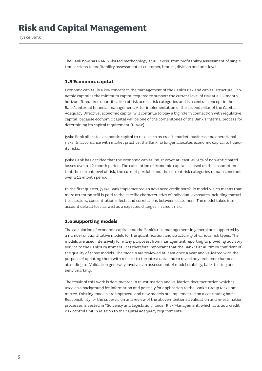Jyske Bank

The Bank now has RAROC-based methodology at all levels, from profitability assessment of single transactions to profitability assessment at customer, branch, division and unit level.

#### **1.5 Economic capital**

Economic capital is a key concept in the management of the Bank's risk and capital structure. Economic capital is the minimum capital required to support the current level of risk at a 12-month horizon. It requires quantification of risk across risk categories and is a central concept in the Bank's internal financial management. After implementation of the second pillar of the Capital Adequacy Directive, economic capital will continue to play a big role in connection with regulative capital, because economic capital will be one of the cornerstones of the Bank's internal process for determining its capital requirement (ICAAP).

Jyske Bank allocates economic capital to risks such as credit, market, business and operational risks. In accordance with market practice, the Bank no longer allocates economic capital to liquidity risks.

Jyske Bank has decided that the economic capital must cover at least 99.97% of non-anticipated losses over a 12-month period. The calculation of economic capital is based on the assumption that the current level of risk, the current portfolio and the current risk categories remain constant over a 12-month period.

In the first quarter, Jyske Bank implemented an advanced credit portfolio model which means that more attention still is paid to the specific characteristics of individual exposures including maturities, sectors, concentration effects and correlations between customers. The model takes into account default loss as well as a expected changes in credit risk.

#### **1.6 Supporting models**

The calculation of economic capital and the Bank's risk management in general are supported by a number of quantitative models for the quantification and structuring of various risk types. The models are used intensively for many purposes, from management reporting to providing advisory service to the Bank's customers. It is therefore important that the Bank is at all times confident of the quality of those models. The models are reviewed at least once a year and validated with the purpose of updating them with respect to the latest data and to reveal any problems that need attending to. Validation generally involves an assessment of model stability, back-testing and benchmarking.

The result of this work is documented in re-estimation and validation documentation which is used as a background for information and possibly for application to the Bank's Group Risk Committee. Existing models are improved, and new models are implemented on a continuing basis. Responsibility for the supervision and review of the above-mentioned validation and re-estimation processes is vested in "Solvency and Legislation" under Risk Management, which acts as a credit risk control unit in relation to the capital adequacy requirements.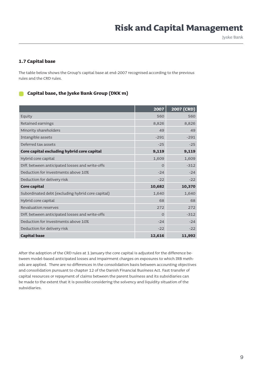#### **1.7 Capital base**

The table below shows the Group's capital base at end-2007 recognised according to the previous rules and the CRD rules.

#### **Capital base, the Jyske Bank Group (DKK m)**

|                                                   | 2007     | 2007 (CRD) |
|---------------------------------------------------|----------|------------|
| Equity                                            | 560      | 560        |
| Retained earnings                                 | 8,826    | 8,826      |
| Minority shareholders                             | 49       | 49         |
| Intangible assets                                 | $-291$   | $-291$     |
| Deferred tax assets                               | $-25$    | $-25$      |
| Core capital excluding hybrid core capital        | 9,119    | 9,119      |
| Hybrid core capital                               | 1,609    | 1,609      |
| Diff. between anticipated losses and write-offs   | $\Omega$ | $-312$     |
| Deduction for investments above 10%               | $-24$    | $-24$      |
| Deduction for delivery risk                       | $-22$    | $-22$      |
| Core capital                                      | 10,682   | 10,370     |
| Subordinated debt (excluding hybrid core capital) | 1,640    | 1,640      |
| Hybrid core capital                               | 68       | 68         |
| Revaluation reserves                              | 272      | 272        |
| Diff. between anticipated losses and write-offs   | $\Omega$ | $-312$     |
| Deduction for investments above 10%               | $-24$    | $-24$      |
| Deduction for delivery risk                       | $-22$    | $-22$      |
| <b>Capital base</b>                               | 12,616   | 11,992     |

After the adoption of the CRD rules at 1 January the core capital is adjusted for the difference between model-based anticipated losses and impairment charges on exposures to which IRB methods are applied. There are no differences in the consolidation basis between accounting objectives and consolidation pursuant to chapter 12 of the Danish Financial Business Act. Fast transfer of capital resources or repayment of claims between the parent business and its subsidiaries can be made to the extent that it is possible considering the solvency and liquidity situation of the subsidiaries.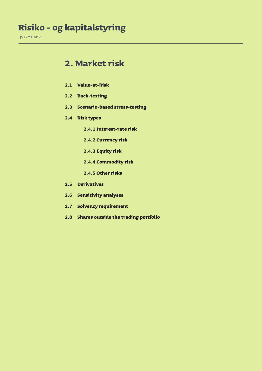### **Risiko - og kapitalstyring**

Jyske Bank

### **2. Market risk**

- **2.1 Value-at-Risk**
- **2.2 Back-testing**
- **2.3 Scenario-based stress-testing**
- **2.4 Risk types**
	- **2.4.1 Interest-rate risk**
	- **2.4.2 Currency risk**
	- **2.4.3 Equity risk**
	- **2.4.4 Commodity risk**
	- **2.4.5 Other risks**
- **2.5 Derivatives**
- **2.6 Sensitivity analyses**
- **2.7 Solvency requirement**
- **2.8 Shares outside the trading portfolio**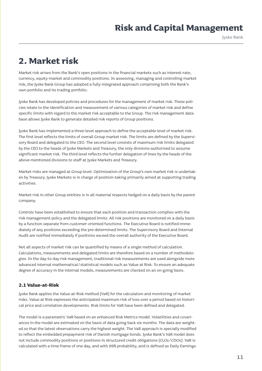Jyske Bank

### **2. Market risk**

Market risk arises from the Bank's open positions in the financial markets such as interest-rate, currency, equity-market and commodity positions. In assessing, managing and controlling market risk, the Jyske Bank Group has adopted a fully-integrated approach comprising both the Bank's own portfolio and its trading portfolio.

Jyske Bank has developed policies and procedures for the management of market risk. These policies relate to the identification and measurement of various categories of market risk and define specific limits with regard to the market risk acceptable to the Group. The risk management database allows Jyske Bank to generate detailed risk reports of Group positions.

Jyske Bank has implemented a three-level approach to define the acceptable level of market risk. The first level reflects the limits of overall Group market risk. The limits are defined by the Supervisory Board and delegated to the CEO. The second level consists of maximum risk limits delegated by the CEO to the heads of Jyske Markets and Treasury, the only divisions authorised to assume significant market risk. The third level reflects the further delegation of lines by the heads of the above-mentioned divisions to staff at Jyske Markets and Treasury.

Market risks are managed at Group level. Optimisation of the Group's own market risk is undertaken by Treasury. Jyske Markets is in charge of position-taking primarily aimed at supporting trading activities.

Market risk in other Group entities is in all material respects hedged on a daily basis by the parent company.

Controls have been established to ensure that each position and transaction complies with the risk management policy and the delegated limits. All risk positions are monitored on a daily basis by a function separate from customer-oriented functions. The Executive Board is notified immediately of any positions exceeding the pre-determined limits. The Supervisory Board and Internal Audit are notified immediately if positions exceed the overall authority of the Executive Board.

Not all aspects of market risk can be quantified by means of a single method of calculation. Calculations, measurements and delegated limits are therefore based on a number of methodologies. In the day-to-day risk management, traditional risk measurements are used alongside more advanced internal mathematical/statistical models such as Value at Risk. To ensure an adequate degree of accuracy in the internal models, measurements are checked on an on-going basis.

#### **2.1 Value-at-Risk**

Jyske Bank applies the Value-at-Risk method (VaR) for the calculation and monitoring of market risks. Value at Risk expresses the anticipated maximum risk of loss over a period based on historical price and correlation developments. Risk limits for VaR have been defined and delegated.

The model is a parametric VaR based on an enhanced Risk Metrics model. Volatilities and covariances in the model are estimated on the basis of data going back six months. The data are weighted so that the latest observations carry the highest weight. The VaR approach is specially modified to reflect the embedded prepayment risk of Danish mortgage bonds. Jyske Bank's VaR model does not include commodity positions or positions in structured credit obligations (CLOs/CDOs). VaR is calculated with a time frame of one day, and with 99% probability, and is defined as Daily Earnings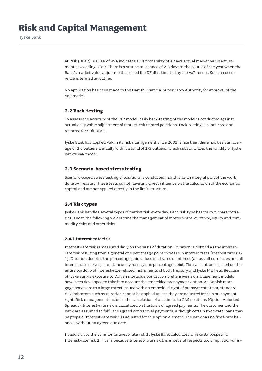at Risk (DEaR). A DEaR of 99% indicates a 1% probability of a day's actual market value adjustments exceeding DEaR. There is a statistical chance of 2-3 days in the course of the year when the Bank's market value adjustments exceed the DEaR estimated by the VaR model. Such an occurrence is termed an outlier.

No application has been made to the Danish Financial Supervisory Authority for approval of the VaR model.

#### **2.2 Back-testing**

To assess the accuracy of the VaR model, daily back-testing of the model is conducted against actual daily value adjustment of market-risk related positions. Back-testing is conducted and reported for 99% DEaR.

Jyske Bank has applied VaR in its risk management since 2001. Since then there has been an average of 2.0 outliers annually within a band of 1-3 outliers, which substantiates the validity of Jyske Bank's VaR model.

#### **2.3 Scenario-based stress testing**

Scenario-based stress testing of positions is conducted monthly as an integral part of the work done by Treasury. These tests do not have any direct influence on the calculation of the economic capital and are not applied directly in the limit structure.

#### **2.4 Risk types**

Jyske Bank handles several types of market risk every day. Each risk type has its own characteristics, and in the following we describe the management of interest-rate, currency, equity and commodity risks and other risks.

#### **2.4.1 Interest-rate risk**

Interest-rate risk is measured daily on the basis of duration. Duration is defined as the interestrate risk resulting from a general one percentage point increase in interest rates (Interest rate risk 1). Duration denotes the percentage gain or loss if all rates of interest (across all currencies and all interest rate curves) simultaneously rose by one percentage point. The calculation is based on the entire portfolio of interest-rate-related instruments of both Treasury and Jyske Markets. Because of Jyske Bank's exposure to Danish mortgage bonds, comprehensive risk management models have been developed to take into account the embedded prepayment option. As Danish mortgage bonds are to a large extent issued with an embedded right of prepayment at par, standard risk indicators such as duration cannot be applied unless they are adjusted for this prepayment right. Risk management includes the calculation of and limits to OAS positions (Option-Adjusted Spreads). Interest-rate risk is calculated on the basis of agreed payments. The customer and the Bank are assumed to fulfil the agreed contractual payments, although certain fixed-rate loans may be prepaid. Interest-rate risk 1 is adjusted for this option element. The Bank has no fixed-rate balances without an agreed due date.

In addition to the common Interest-rate risk 1, Jyske Bank calculates a Jyske Bank-specific Interest-rate risk 2. This is because Interest-rate risk 1 is in several respects too simplistic. For in-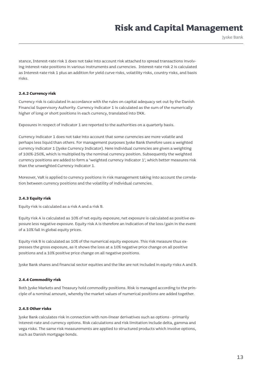Jyske Bank

stance, Interest-rate risk 1 does not take into account risk attached to spread transactions involving interest-rate positions in various instruments and currencies. Interest-rate risk 2 is calculated as Interest-rate risk 1 plus an addition for yield curve risks, volatility risks, country risks, and basis risks.

#### **2.4.2 Currency risk**

Currency risk is calculated in accordance with the rules on capital adequacy set out by the Danish Financial Supervisory Authority. Currency indicator 1 is calculated as the sum of the numerically higher of long or short positions in each currency, translated into DKK.

Exposures in respect of indicator 1 are reported to the authorities on a quarterly basis.

Currency indicator 1 does not take into account that some currencies are more volatile and perhaps less liquid than others. For management purposes Jyske Bank therefore uses a weighted currency indicator 1 (Jyske Currency Indicator). Here individual currencies are given a weighting of 100%-250%, which is multiplied by the nominal currency position. Subsequently the weighted currency positions are added to form a 'weighted currency indicator 1', which better measures risk than the unweighted Currency indicator 1.

Moreover, VaR is applied to currency positions in risk management taking into account the correlation between currency positions and the volatility of individual currencies.

#### **2.4.3 Equity risk**

Equity risk is calculated as a risk A and a risk B.

Equity risk A is calculated as 10% of net equity exposure; net exposure is calculated as positive exposure less negative exposure. Equity risk A is therefore an indication of the loss/gain in the event of a 10% fall in global equity prices.

Equity risk B is calculated as 10% of the numerical equity exposure. This risk measure thus expresses the gross exposure, as it shows the loss at a 10% negative price change on all positive positions and a 10% positive price change on all negative positions.

Jyske Bank shares and financial sector equities and the like are not included in equity risks A and B.

#### **2.4.4 Commodity risk**

Both Jyske Markets and Treasury hold commodity positions. Risk is managed according to the principle of a nominal amount, whereby the market values of numerical positions are added together.

#### **2.4.5 Other risks**

Jyske Bank calculates risk in connection with non-linear derivatives such as options - primarily interest-rate and currency options. Risk calculations and risk limitation include delta, gamma and vega risks. The same risk measurements are applied to structured products which involve options, such as Danish mortgage bonds.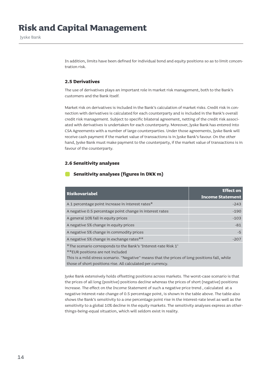In addition, limits have been defined for individual bond and equity positions so as to limit concentration risk.

#### **2.5 Derivatives**

The use of derivatives plays an important role in market risk management, both to the Bank's customers and the Bank itself.

Market risk on derivatives is included in the Bank's calculation of market risks. Credit risk in connection with derivatives is calculated for each counterparty and is included in the Bank's overall credit risk management. Subject to specific bilateral agreement, netting of the credit risk associated with derivatives is undertaken for each counterparty. Moreover, Jyske Bank has entered into CSA Agreements with a number of large counterparties. Under those agreements, Jyske Bank will receive cash payment if the market value of transactions is in Jyske Bank's favour. On the other hand, Jyske Bank must make payment to the counterparty, if the market value of transactions is in favour of the counterparty.

#### **2.6 Sensitivity analyses**

#### **Sensitivity analyses (figures in DKK m)**

| <b>Risikovariabel</b>                                                                              | <b>Effect on</b><br><b>Income Statement</b> |
|----------------------------------------------------------------------------------------------------|---------------------------------------------|
| A 1 percentage point increase in interest rates*                                                   | $-243$                                      |
| A negative 0.5 percentage point change in interest rates                                           | $-190$                                      |
| A general 10% fall in equity prices                                                                | $-103$                                      |
| A negative 5% change in equity prices                                                              | $-81$                                       |
| A negative 5% change in commodity prices                                                           | $-5$                                        |
| A negative 5% change in exchange rates**                                                           | $-207$                                      |
| *The scenario corresponds to the Bank's 'Interest-rate Risk 1'<br>**EUR positions are not included |                                             |

This is a mild stress scenario. "Negative" means that the prices of long positions fall, while those of short positions rise. All calculated per currency.

Jyske Bank extensively holds offsetting positions across markets. The worst-case scenario is that the prices of all long (positive) positions decline whereas the prices of short (negative) positions increase. The effect on the Income Statement of such a negative price trend , calculated at a negative interest-rate change of 0.5 percentage point, is shown in the table above. The table also shows the Bank's sensitivity to a one percentage point rise in the interest-rate level as well as the sensitivity to a global 10% decline in the equity markets. The sensitivity analyses express an otherthings-being-equal situation, which will seldom exist in reality.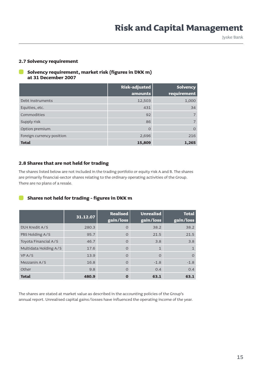#### **2.7 Solvency requirement**

#### **Solvency requirement, market risk (figures in DKK m) at 31 December 2007**

|                           | Risk-adjusted<br>amounts | <b>Solvency</b><br>requirement |
|---------------------------|--------------------------|--------------------------------|
| Debt instruments          | 12,503                   | 1,000                          |
| Equities, etc.            | 431                      | 34                             |
| Commodities               | 92                       |                                |
| Supply risk               | 86                       |                                |
| Option premium            | $\circ$                  | $\Omega$                       |
| Foreign currency position | 2,696                    | 216                            |
| <b>Total</b>              | 15,809                   | 1,265                          |

#### **2.8 Shares that are not held for trading**

The shares listed below are not included in the trading portfolio or equity risk A and B. The shares are primarily financial-sector shares relating to the ordinary operating activities of the Group. There are no plans of a resale.

#### **Shares not held for trading - figures in DKK m**

|                       | 31.12.07 | <b>Realised</b><br>gain/loss | Unrealisd<br>gain/loss | <b>Total</b><br>gain/loss |
|-----------------------|----------|------------------------------|------------------------|---------------------------|
| DLH Kredit A/S        | 280.3    | $\Omega$                     | 38.2                   | 38.2                      |
| PBS Holding A/S       | 95.7     | $\Omega$                     | 21.5                   | 21.5                      |
| Toyota Financial A/S  | 46.7     | $\Omega$                     | 3.8                    | 3.8                       |
| Multidata Holding A/S | 17.6     | $\Omega$                     | $\mathbf{1}$           | $\mathbf{1}$              |
| VP A/S                | 13.9     | $\Omega$                     | $\Omega$               | $\Omega$                  |
| Mezzanin A/S          | 16.8     | $\Omega$                     | $-1.8$                 | $-1.8$                    |
| Other                 | 9.8      | $\Omega$                     | 0.4                    | 0.4                       |
| <b>Total</b>          | 480.9    | 0                            | 63.1                   | 63.1                      |

The shares are stated at market value as described in the accounting policies of the Group's annual report. Unrealised capital gains/losses have influenced the operating income of the year.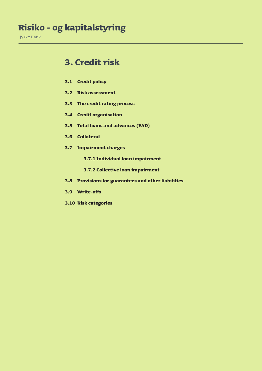### **Risiko - og kapitalstyring**

Jyske Bank

### **3. Credit risk**

- **3.1 Credit policy**
- **3.2 Risk assessment**
- **3.3 The credit rating process**
- **3.4 Credit organisation**
- **3.5 Total loans and advances (EAD)**
- **3.6 Collateral**
- **3.7 Impairment charges**
	- **3.7.1 Individual loan impairment**
	- **3.7.2 Collective loan impairment**
- **3.8 Provisions for guarantees and other liabilities**
- **3.9 Write-offs**
- **3.10 Risk categories**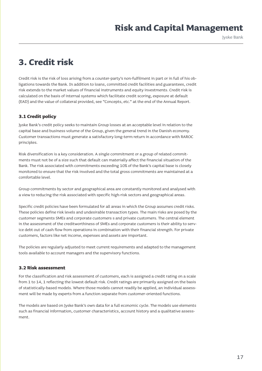Jyske Bank

### **3. Credit risk**

Credit risk is the risk of loss arising from a counter-party's non-fulfilment in part or in full of his obligations towards the Bank. In addition to loans, committed credit facilities and guarantees, credit risk extends to the market values of financial instruments and equity investments. Credit risk is calculated on the basis of internal systems which facilitate credit scoring, exposure at default (EAD) and the value of collateral provided, see "Concepts, etc." at the end of the Annual Report.

#### **3.1 Credit policy**

Jyske Bank's credit policy seeks to maintain Group losses at an acceptable level in relation to the capital base and business volume of the Group, given the general trend in the Danish economy. Customer transactions must generate a satisfactory long-term return in accordance with RAROC principles.

Risk diversification is a key consideration. A single commitment or a group of related commitments must not be of a size such that default can materially affect the financial situation of the Bank. The risk associated with commitments exceeding 10% of the Bank's capital base is closely monitored to ensure that the risk involved and the total gross commitments are maintained at a comfortable level.

Group commitments by sector and geographical area are constantly monitored and analysed with a view to reducing the risk associated with specific high-risk sectors and geographical areas.

Specific credit policies have been formulated for all areas in which the Group assumes credit risks. These policies define risk levels and undesirable transaction types. The main risks are posed by the customer segments SMEs and corporate customers s and private customers. The central element in the assessment of the creditworthiness of SMEs and corporate customers is their ability to service debt out of cash flow from operations in combination with their financial strength. For private customers, factors like net income, expenses and assets are important.

The policies are regularly adjusted to meet current requirements and adapted to the management tools available to account managers and the supervisory functions.

#### **3.2 Risk assessment**

For the classification and risk assessment of customers, each is assigned a credit rating on a scale from 1 to 14, 1 reflecting the lowest default risk. Credit ratings are primarily assigned on the basis of statistically-based models. Where those models cannot readily be applied, an individual assessment will be made by experts from a function separate from customer-oriented functions.

The models are based on Jyske Bank's own data for a full economic cycle. The models use elements such as financial information, customer characteristics, account history and a qualitative assessment.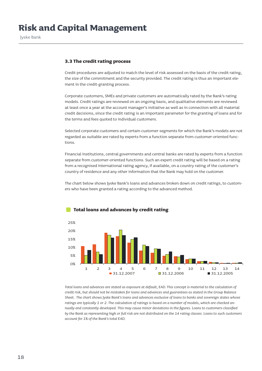#### **3.3 The credit rating process**

Credit procedures are adjusted to match the level of risk assessed on the basis of the credit rating, the size of the commitment and the security provided. The credit rating is thus an important element in the credit-granting process.

Corporate customers, SMEs and private customers are automatically rated by the Bank's rating models. Credit ratings are reviewed on an ongoing basis, and qualitative elements are reviewed at least once a year at the account manager's initiative as well as in connection with all material credit decisions, since the credit rating is an important parameter for the granting of loans and for the terms and fees quoted to individual customers.

Selected corporate customers and certain customer segments for which the Bank's models are not regarded as suitable are rated by experts from a function separate from customer-oriented functions.

Financial institutions, central governments and central banks are rated by experts from a function separate from customer-oriented functions. Such an expert credit rating will be based on a rating from a recognised international rating agency, if available, on a country rating of the customer's country of residence and any other information that the Bank may hold on the customer.

The chart below shows Jyske Bank's loans and advances broken down on credit ratings, to customers who have been granted a rating according to the advanced method.



#### **Total loans and advances by credit rating**

*Total loans and advances are stated as exposure at default, EAD. This concept is material to the calculation of credit risk, but should not be mistaken for loans and advances and guarantees as stated in the Group Balance Sheet. The chart shows Jyske Bank's loans and advances exclusive of loans to banks and sovereign states whose ratings are typically 1 or 2. The calculation of ratings is based on a number of models, which are checked annually and constantly developed. This may cause minor deviations in the figures. Loans to customers classified by the Bank as representing high or full risk are not distributed on the 14 rating classes. Loans to such customers account for 1% of the Bank's total EAD.*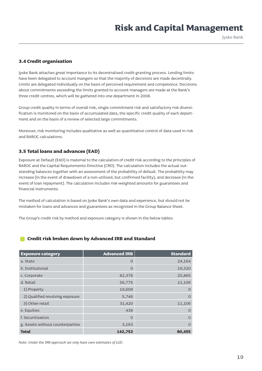Jyske Bank

#### **3.4 Credit organisation**

Jyske Bank attaches great importance to its decentralised credit-granting process. Lending limits have been delegated to account mangers so that the majority of decisions are made decentrally. Limits are delegated individually on the basis of perceived requirement and competence. Decisions about commitments exceeding the limits granted to account managers are made at the Bank's three credit centres, which will be gathered into one department in 2008.

Group credit quality in terms of overall risk, single commitment risk and satisfactory risk diversification is monitored on the basis of accumulated data, the specific credit quality of each department and on the basis of a review of selected large commitments.

Moreover, risk monitoring includes qualitative as well as quantitative control of data used in risk and RAROC calculations.

#### **3.5 Total loans and advances (EAD)**

Exposure at Default (EAD) is material to the calculation of credit risk according to the principles of RAROC and the Capital Requirements Directive (CRD). The calculation includes the actual outstanding balances together with an assessment of the probability of default. The probability may increase (in the event of drawdown of a non-utilised, but confirmed facility), and decrease (in the event of loan repayment). The calculation includes risk-weighted amounts for guarantees and financial instruments.

The method of calculation is based on Jyske Bank's own data and experience, but should not be mistaken for loans and advances and guarantees as recognised in the Group Balance Sheet.

The Group's credit risk by method and exposure category is shown in the below tables.

#### **Credit risk broken down by Advanced IRB and Standard**

| <b>Exposure category</b>         | <b>Advanced IRB</b> | <b>Standard</b> |
|----------------------------------|---------------------|-----------------|
| a. State                         | $\circ$             | 24,164          |
| b. Institutional                 | $\overline{O}$      | 19,320          |
| c. Corporate                     | 82,376              | 25,865          |
| d. Retail                        | 56,775              | 11,106          |
| 1) Property                      | 19,609              | $\Omega$        |
| 2) Qualified revolving exposure  | 5,746               | $\Omega$        |
| 3) Other retail                  | 31,420              | 11,106          |
| e. Equities                      | 438                 | $\bigcap$       |
| f. Securitisation                | $\circ$             | $\Omega$        |
| g. Assets without counterparties | 3,163               | $\Omega$        |
| <b>Total</b>                     | 142,752             | 80,455          |

*Note: Under the IRB approach we only have own estimates of LGD.*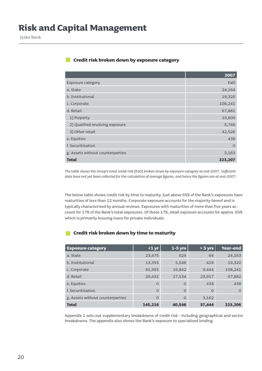#### **Credit risk broken down by exposure category**

|                                  | 2007     |
|----------------------------------|----------|
| Exposure category                | EaD      |
| a. State                         | 24,164   |
| b. Institutional                 | 19,320   |
| c. Corporate                     | 108,241  |
| d. Retail                        | 67,881   |
| 1) Property                      | 19,609   |
| 2) Qualified revolving exposure  | 5,746    |
| 3) Other retail                  | 42,526   |
| e. Equities                      | 438      |
| f. Securitisation                | $\Omega$ |
| g. Assets without counterparties | 3,163    |
| <b>Total</b>                     | 223,207  |

*The table shows the Group's total credit risk (EaD) broken down by exposure category at end-2007. Sufficient data have not yet been collected for the calculation of average figures, and hence the figures are at end-2007.*

The below table shows credit risk by time to maturity. Just above 65% of the Bank's exposures have maturities of less than 12 months. Corporate exposure accounts for the majority hereof and is typically characterised by annual reviews. Exposures with maturities of more than five years account for 17% of the Bank's total exposures. Of these 17%, retail exposure accounts for approx. 65% which is primarily housing loans for private individuals.

#### **Credit risk broken down by time to maturity**

| <b>Exposure category</b>         | $1$ yr   | $1-5$ yrs | $> 5 \overline{yrs}$ | Year-end |
|----------------------------------|----------|-----------|----------------------|----------|
| a. State                         | 23,475   | 624       | 64                   | 24,163   |
| b. Institutional                 | 13,355   | 5,546     | 419                  | 19,320   |
| c. Corporate                     | 81,955   | 16,842    | 9,444                | 108,241  |
| d. Retail                        | 26,431   | 17,534    | 23,917               | 67,882   |
| e. Equities                      | $\Omega$ | $\circ$   | 438                  | 438      |
| f. Securitisation                | $\Omega$ | $\Omega$  | $\Omega$             | $\Omega$ |
| g. Assets without counterparties | $\Omega$ | $\Omega$  | 3,162                |          |
| <b>Total</b>                     | 145,216  | 40,546    | 37,444               | 223,206  |

Appendix 1 sets out supplementary breakdowns of credit risk - including geographical and sector breakdowns. The appendix also shows the Bank's exposure to specialised lending.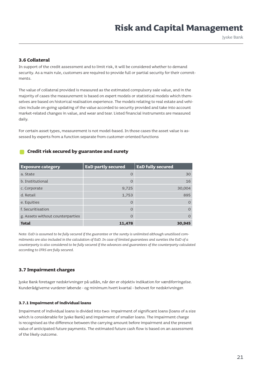Jyske Bank

#### **3.6 Collateral**

In support of the credit assessment and to limit risk, it will be considered whether to demand security. As a main rule, customers are required to provide full or partial security for their commitments.

The value of collateral provided is measured as the estimated compulsory sale value, and in the majority of cases the measurement is based on expert models or statistical models which themselves are based on historical realisation experience. The models relating to real estate and vehicles include on-going updating of the value accorded to security provided and take into account market-related changes in value, and wear and tear. Listed financial instruments are measured daily.

For certain asset types, measurement is not model-based. In those cases the asset value is assessed by experts from a function separate from customer-oriented functions

#### **Credit risk secured by guarantee and surety**

| <b>Exposure category</b>         | <b>EaD partly secured</b> | <b>EaD fully secured</b> |
|----------------------------------|---------------------------|--------------------------|
| a. State                         | $\circ$                   | 30                       |
| b. Institutional                 | $\Omega$                  | 16                       |
| c. Corporate                     | 9,725                     | 30,004                   |
| d. Retail                        | 1,753                     | 895                      |
| e. Equities                      | $\circ$                   | $\Omega$                 |
| f. Securitisation                | $\Omega$                  | $\Omega$                 |
| g. Assets without counterparties | $\Omega$                  | $\Omega$                 |
| <b>Total</b>                     | 11,478                    | 30,945                   |

*Note: EaD is assumed to be fully secured if the guarantee or the surety is unlimited although unutilised commitments are also included in the calculation of EaD. In case of limited guarantees and sureties the EaD of a counterparty is also considered to be fully secured if the advances and guarantees of the counterparty calculated according to IFRS are fully secured.*

#### **3.7 Impairment charges**

Jyske Bank foretager nedskrivninger på udlån, når der er objektiv indikation for værdiforringelse. Kunderådgiverne vurderer løbende - og minimum hvert kvartal - behovet for nedskrivninger.

#### **3.7.1 Impairment of individual loans**

Impairment of individual loans is divided into two: impairment of significant loans (loans of a size which is considerable for Jyske Bank) and impairment of smaller loans. The impairment charge is recognised as the difference between the carrying amount before impairment and the present value of anticipated future payments. The estimated future cash flow is based on an assessment of the likely outcome.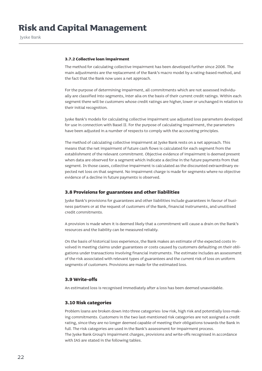#### **3.7.2 Collective loan impairment**

The method for calculating collective impairment has been developed further since 2006. The main adjustments are the replacement of the Bank's macro model by a rating-based method, and the fact that the Bank now uses a net approach.

For the purpose of determining impairment, all commitments which are not assessed individually are classified into segments, inter alia on the basis of their current credit ratings. Within each segment there will be customers whose credit ratings are higher, lower or unchanged in relation to their initial recognition.

Jyske Bank's models for calculating collective impairment use adjusted loss parameters developed for use in connection with Basel II. For the purpose of calculating impairment, the parameters have been adjusted in a number of respects to comply with the accounting principles.

The method of calculating collective impairment at Jyske Bank rests on a net approach. This means that the net impairment of future cash flows is calculated for each segment from the establishment of the relevant commitment. Objective evidence of impairment is deemed present when data are observed for a segment which indicate a decline in the future payments from that segment. In those cases, collective impairment is calculated as the discounted extraordinary expected net loss on that segment. No impairment charge is made for segments where no objective evidence of a decline in future payments is observed.

#### **3.8 Provisions for guarantees and other liabilities**

Jyske Bank's provisions for guarantees and other liabilities include guarantees in favour of business partners or at the request of customers of the Bank, financial instruments, and unutilised credit commitments.

A provision is made when it is deemed likely that a commitment will cause a drain on the Bank's resources and the liability can be measured reliably.

On the basis of historical loss experience, the Bank makes an estimate of the expected costs involved in meeting claims under guarantees or costs caused by customers defaulting on their obligations under transactions involving financial instruments. The estimate includes an assessment of the risk associated with relevant types of guarantees and the current risk of loss on uniform segments of customers. Provisions are made for the estimated loss.

#### **3.9 Write-offs**

An estimated loss is recognised immediately after a loss has been deemed unavoidable.

#### **3.10 Risk categories**

Problem loans are broken down into three categories: low risk, high risk and potentially loss-making commitments. Customers in the two last-mentioned risk categories are not assigned a credit rating, since they are no longer deemed capable of meeting their obligations towards the Bank in full. The risk categories are used in the Bank's assessment for impairment process. The Jyske Bank Group's impairment charges, provisions and write-offs recognised in accordance with IAS are stated in the following tables.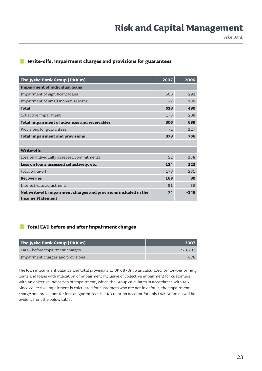#### **Write-offs, impairment charges and provisions for guarantees**

| The Jyske Bank Group (DKK m)                                     | 2007 | 2006   |
|------------------------------------------------------------------|------|--------|
| <b>Impairment of individual loans</b>                            |      |        |
| Impairment of significant loans                                  | 506  | 292    |
| Impairment of small individual loans                             | 122  | 138    |
| <b>Total</b>                                                     | 628  | 430    |
| Collective impairment                                            | 178  | 209    |
| <b>Total impairment of advances and receivables</b>              | 806  | 639    |
| Provisions for guarantees                                        | 72   | 127    |
| <b>Total impairment and provisions</b>                           | 878  | 766    |
|                                                                  |      |        |
| <b>Write-offs</b>                                                |      |        |
| Loss on individually assessed commitments                        | 52   | 158    |
| Loss on loans assessed collectively, etc.                        | 124  | 123    |
| Total write-off                                                  | 176  | 281    |
| <b>Recoveries</b>                                                | 163  | 80     |
| Interest-rate adjustment                                         | 51   | 36     |
| Net write-off, impairment charges and provisions included in the | 74   | $-348$ |
| <b>Income Statement</b>                                          |      |        |

#### **Total EAD before and after impairment charges**

| The Jyske Bank Group $(DKKm)$     | 2007    |
|-----------------------------------|---------|
| EaD – before impairment charges   | 223,207 |
| Impairment charges and provisions | 878     |

The loan impairment balance and total provisions at DKK 878m was calculated for non-performing loans and loans with indication of impairment inclusive of collective impairment for customers with an objective indication of impairment, which the Group calculates in accordance with IAS. Since collective impairment is calculated for customers who are not in default, the impairment charge and provisions for loss on guarantees in CRD relation account for only DKK 685m as will be evident from the below tables.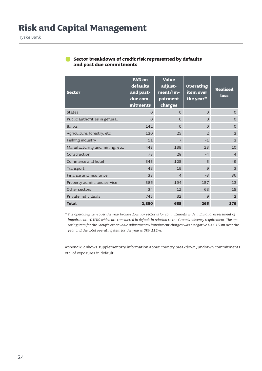| <b>Sector</b>                  | <b>EAD on</b><br>defaults<br>and past-<br>due com-<br>mitments | <b>Value</b><br>adjust-<br>ment/im-<br>pairment<br>charges | <b>Operating</b><br>item over<br>the year* | <b>Realised</b><br>loss |
|--------------------------------|----------------------------------------------------------------|------------------------------------------------------------|--------------------------------------------|-------------------------|
| <b>States</b>                  | $\Omega$                                                       | $\Omega$                                                   | $\Omega$                                   | $\Omega$                |
| Public authorities in general  | $\Omega$                                                       | $\Omega$                                                   | $\Omega$                                   | $\Omega$                |
| <b>Banks</b>                   | 142                                                            | $\Omega$                                                   | $\Omega$                                   | $\Omega$                |
| Agriculture, forestry, etc     | 120                                                            | 25                                                         | $\mathcal{P}$                              | $\overline{2}$          |
| Fishing industry               | 11                                                             | 7                                                          | $-1$                                       | $\overline{2}$          |
| Manufacturing and mining, etc. | 443                                                            | 189                                                        | 23                                         | 10                      |
| Construction                   | 73                                                             | 28                                                         | $-4$                                       | $\overline{4}$          |
| Commerce and hotel             | 345                                                            | 125                                                        | 5                                          | 49                      |
| Transport                      | 48                                                             | 19                                                         | $\mathbf{Q}$                               | 3                       |
| Finance and insurance          | 33                                                             | $\overline{4}$                                             | $-3$                                       | 36                      |
| Property admin. and service    | 386                                                            | 194                                                        | 157                                        | 13                      |
| Other sectors                  | 34                                                             | 12                                                         | 68                                         | 15                      |
| Private individuals            | 745                                                            | 82                                                         | 9                                          | 42                      |
| <b>Total</b>                   | 2,380                                                          | 685                                                        | 265                                        | 176                     |

#### **Sector breakdown of credit risk represented by defaults and past due commitments**

*\* The operating item over the year broken down by sector is for commitments with individual assessment of impairment, cf. IFRS which are considered in default in relation to the Group's solvency requirement. The operating item for the Group's other value adjustments/impairment charges was a negative DKK 153m over the year and the total operating item for the year is DKK 112m.*

Appendix 2 shows supplementary information about country breakdown, undrawn commitments etc. of exposures in default.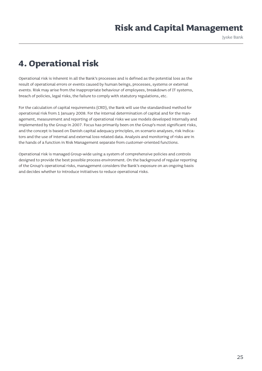Jyske Bank

### **4. Operational risk**

Operational risk is inherent in all the Bank's processes and is defined as the potential loss as the result of operational errors or events caused by human beings, processes, systems or external events. Risk may arise from the inappropriate behaviour of employees, breakdown of IT systems, breach of policies, legal risks, the failure to comply with statutory regulations, etc.

For the calculation of capital requirements (CRD), the Bank will use the standardised method for operational risk from 1 January 2008. For the internal determination of capital and for the management, measurement and reporting of operational risks we use models developed internally and implemented by the Group in 2007. Focus has primarily been on the Group's most significant risks, and the concept is based on Danish capital adequacy principles, on scenario analyses, risk indicators and the use of internal and external loss-related data. Analysis and monitoring of risks are in the hands of a function in Risk Management separate from customer-oriented functions.

Operational risk is managed Group-wide using a system of comprehensive policies and controls designed to provide the best possible process environment. On the background of regular reporting of the Group's operational risks, management considers the Bank's exposure on an ongoing basis and decides whether to introduce initiatives to reduce operational risks.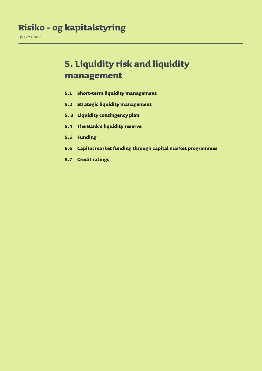### **5. Liquidity risk and liquidity management**

- **5.1 Short-term liquidity management**
- **5.2 Strategic liquidity management**
- **5. 3 Liquidity contingency plan**
- **5.4 The Bank's liquidity reserve**
- **5.5 Funding**
- **5.6 Capital market funding through capital market programmes**
- **5.7 Credit ratings**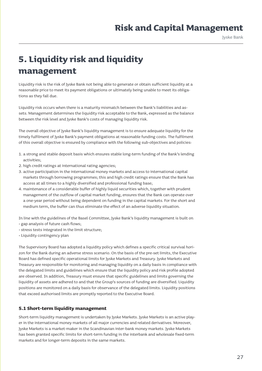Jyske Bank

### **5. Liquidity risk and liquidity management**

Liquidity risk is the risk of Jyske Bank not being able to generate or obtain sufficient liquidity at a reasonable price to meet its payment obligations or ultimately being unable to meet its obligations as they fall due.

Liquidity risk occurs when there is a maturity mismatch between the Bank's liabilities and assets. Management determines the liquidity risk acceptable to the Bank, expressed as the balance between the risk level and Jyske Bank's costs of managing liquidity risk.

The overall objective of Jyske Bank's liquidity management is to ensure adequate liquidity for the timely fulfilment of Jyske Bank's payment obligations at reasonable funding costs. The fulfilment of this overall objective is ensured by compliance with the following sub-objectives and policies:

- 1. a strong and stable deposit basis which ensures stable long-term funding of the Bank's lending activities;
- 2. high credit ratings at international rating agencies;
- 3. active participation in the international money markets and access to international capital markets through borrowing programmes; this and high credit ratings ensure that the Bank has access at all times to a highly diversified and professional funding base;
- 4. maintenance of a considerable buffer of highly liquid securities which, together with prudent management of the outflow of capital market funding, ensures that the Bank can operate over a one-year period without being dependent on funding in the capital markets. For the short and medium term, the buffer can thus eliminate the effect of an adverse liquidity situation.

In line with the guidelines of the Basel Committee, Jyske Bank's liquidity management is built on • gap analysis of future cash flows;

- 
- stress tests integrated in the limit structure;
- Liquidity contingency plan

The Supervisory Board has adopted a liquidity policy which defines a specific critical survival horizon for the Bank during an adverse stress scenario. On the basis of the pre-set limits, the Executive Board has defined specific operational limits for Jyske Markets and Treasury. Jyske Markets and Treasury are responsible for monitoring and managing liquidity on a daily basis in compliance with the delegated limits and guidelines which ensure that the liquidity policy and risk profile adopted are observed. In addition, Treasury must ensure that specific guidelines and limits governing the liquidity of assets are adhered to and that the Group's sources of funding are diversified. Liquidity positions are monitored on a daily basis for observance of the delegated limits. Liquidity positions that exceed authorised limits are promptly reported to the Executive Board.

#### **5.1 Short-term liquidity management**

Short-term liquidity management is undertaken by Jyske Markets. Jyske Markets is an active player in the international money markets of all major currencies and related derivatives. Moreover, Jyske Markets is a market-maker in the Scandinavian inter-bank money markets. Jyske Markets has been granted specific limits for short-term funding in the interbank and wholesale fixed-term markets and for longer-term deposits in the same markets.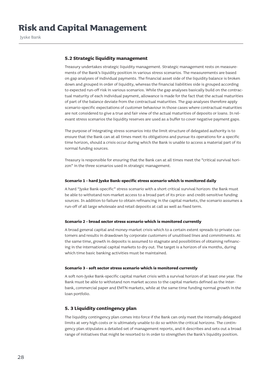#### **5.2 Strategic liquidity management**

Treasury undertakes strategic liquidity management. Strategic management rests on measurements of the Bank's liquidity position in various stress scenarios. The measurements are based on gap analyses of individual payments. The financial asset side of the liquidity balance is broken down and grouped in order of liquidity, whereas the financial liabilities side is grouped according to expected run-off risk in various scenarios. While the gap analyses basically build on the contractual maturity of each individual payment, allowance is made for the fact that the actual maturities of part of the balance deviate from the contractual maturities. The gap analyses therefore apply scenario-specific expectations of customer behaviour in those cases where contractual maturities are not considered to give a true and fair view of the actual maturities of deposits or loans. In relevant stress scenarios the liquidity reserves are used as a buffer to cover negative payment gaps.

The purpose of integrating stress scenarios into the limit structure of delegated authority is to ensure that the Bank can at all times meet its obligations and pursue its operations for a specific time horizon, should a crisis occur during which the Bank is unable to access a material part of its normal funding sources.

Treasury is responsible for ensuring that the Bank can at all times meet the "critical survival horizon" in the three scenarios used in strategic management.

#### **Scenario 1 - hard Jyske Bank-specific stress scenario which is monitored daily**

A hard "Jyske Bank-specific" stress scenario with a short critical survival horizon: the Bank must be able to withstand non-market access to a broad part of its price- and credit-sensitive funding sources. In addition to failure to obtain refinancing in the capital markets, the scenario assumes a run-off of all large wholesale and retail deposits at call as well as fixed term.

#### **Scenario 2 - broad sector stress scenario which is monitored currently**

A broad general capital and money-market crisis which to a certain extent spreads to private customers and results in drawdown by corporate customers of unutilised lines and commitments. At the same time, growth in deposits is assumed to stagnate and possibilities of obtaining refinancing in the international capital markets to dry out. The target is a horizon of six months, during which time basic banking activities must be maintained.

#### **Scenario 3 - soft sector stress scenario which is monitored currently**

A soft non-Jyske Bank-specific capital market crisis with a survival horizon of at least one year. The Bank must be able to withstand non market access to the capital markets defined as the interbank, commercial paper and EMTN markets, while at the same time funding normal growth in the loan portfolio.

#### **5. 3 Liquidity contingency plan**

The liquidity contingency plan comes into force if the Bank can only meet the internally delegated limits at very high costs or is ultimately unable to do so within the critical horizons. The contingency plan stipulates a detailed set of management reports, and it describes and sets out a broad range of initiatives that might be resorted to in order to strengthen the Bank's liquidity position.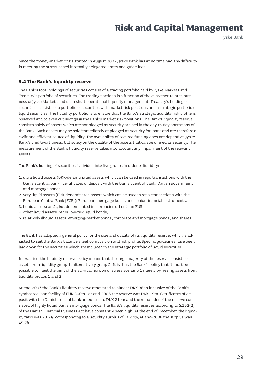Jyske Bank

Since the money-market crisis started in August 2007, Jyske Bank has at no time had any difficulty in meeting the stress-based internally delegated limits and guidelines.

#### **5.4 The Bank's liquidity reserve**

The Bank's total holdings of securities consist of a trading portfolio held by Jyske Markets and Treasury's portfolio of securities. The trading portfolio is a function of the customer-related business of Jyske Markets and ultra short operational liquidity management. Treasury's holding of securities consists of a portfolio of securities with market risk positions and a strategic portfolio of liquid securities. The liquidity portfolio is to ensure that the Bank's strategic liquidity risk profile is observed and to even out swings in the Bank's market risk positions. The Bank's liquidity reserve consists solely of assets which are not pledged as security or used in the day-to-day operations of the Bank. Such assets may be sold immediately or pledged as security for loans and are therefore a swift and efficient source of liquidity. The availability of secured funding does not depend on Jyske Bank's creditworthiness, but solely on the quality of the assets that can be offered as security. The measurement of the Bank's liquidity reserve takes into account any impairment of the relevant assets.

The Bank's holding of securities is divided into five groups in order of liquidity:

- 1. ultra liquid assets (DKK-denominated assets which can be used in repo transactions with the Danish central bank): certificates of deposit with the Danish central bank, Danish government and mortgage bonds;
- 2. very liquid assets (EUR-denominated assets which can be used in repo transactions with the European Central Bank [ECB]): European mortgage bonds and senior financial instruments.
- 3. liquid assets: as 2., but denominated in currencies other than EUR
- 4. other liquid assets: other low-risk liquid bonds;
- 5. relatively illiquid assets: emerging-market bonds, corporate and mortgage bonds, and shares.

The Bank has adopted a general policy for the size and quality of its liquidity reserve, which is adjusted to suit the Bank's balance sheet composition and risk profile. Specific guidelines have been laid down for the securities which are included in the strategic portfolio of liquid securities.

In practice, the liquidity reserve policy means that the large majority of the reserve consists of assets from liquidity group 1, alternatively group 2. It is thus the Bank's policy that it must be possible to meet the limit of the survival horizon of stress scenario 1 merely by freeing assets from liquidity groups 1 and 2.

At end-2007 the Bank's liquidity reserve amounted to almost DKK 36bn inclusive of the Bank's syndicated loan facility of EUR 500m - at end-2006 the reserve was DKK 19m. Certificates of deposit with the Danish central bank amounted to DKK 21bn; and the remainder of the reserve consisted of highly liquid Danish mortgage bonds. The Bank's liquidity reserves according to S.152(2) of the Danish Financial Business Act have constantly been high. At the end of December, the liquidity ratio was 20.2%, corresponding to a liquidity surplus of 102.1%; at end-2006 the surplus was 45.7%.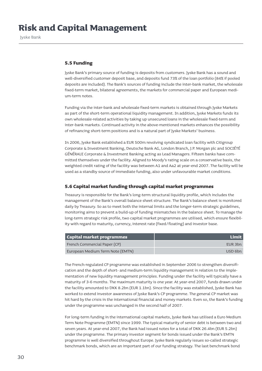#### **5.5 Funding**

Jyske Bank's primary source of funding is deposits from customers. Jyske Bank has a sound and well-diversified customer deposit base, and deposits fund 73% of the loan portfolio (84% if pooled deposits are included). The Bank's sources of funding include the inter-bank market, the wholesale fixed-term market, bilateral agreements, the markets for commercial paper and European medium-term notes.

Funding via the inter-bank and wholesale fixed-term markets is obtained through Jyske Markets as part of the short-term operational liquidity management. In addition, Jyske Markets funds its own wholesale-related activities by taking up unsecured loans in the wholesale fixed-term and inter-bank markets. Continued activity in the above-mentioned markets enhances the possibility of refinancing short-term positions and is a natural part of Jyske Markets' business.

In 2006, Jyske Bank established a EUR 500m revolving syndicated loan facility with Citigroup Corporate & Investment Banking, Deutsche Bank AG, London Branch, J.P. Morgan plc and SOCIÉTÉ GÉNÉRALE Corporate & Investment Banking acting as Lead Managers. Fifteen banks have committed themselves under the facility. Aligned to Moody's rating scale on a conservative basis, the weighted credit rating of the facility was between A1 and Aa2 at year-end 2007. The facility will be used as a standby source of immediate funding, also under unfavourable market conditions.

#### **5.6 Capital market funding through capital market programmes**

Treasury is responsible for the Bank's long-term structural liquidity profile, which includes the management of the Bank's overall balance sheet structure. The Bank's balance sheet is monitored daily by Treasury. So as to meet both the internal limits and the longer-term strategic guidelines, monitoring aims to prevent a build-up of funding mismatches in the balance sheet. To manage the long-term strategic risk profile, two capital market programmes are utilised, which ensure flexibility with regard to maturity, currency, interest rate (fixed/floating) and investor base.

| <b>Capital market programmes</b> | Limit   |
|----------------------------------|---------|
| French Commercial Paper (CP)     | EUR 3bn |
| European Medium Term Note (EMTN) | USD 6bn |

The French-regulated CP programme was established in September 2006 to strengthen diversification and the depth of short- and medium-term liquidity management in relation to the implementation of new liquidity management principles. Funding under the facility will typically have a maturity of 3-6 months. The maximum maturity is one year. At year-end 2007, funds drawn under the facility amounted to DKK 8.2bn (EUR 1.1bn). Since the facility was established, Jyske Bank has worked to extend investor awareness of Jyske Bank's CP programme. The general CP market was hit hard by the crisis in the international financial and money markets. Even so, the Bank's funding under the programme was unchanged in the second half of 2007.

For long-term funding in the international capital markets, Jyske Bank has utilised a Euro Medium Term Note Programme (EMTN) since 1999. The typical maturity of senior debt is between two and seven years. At year-end 2007, the Bank had issued notes for a total of DKK 26.4bn (EUR 5.2bn) under the programme. The primary investor segment for bonds issued under the Bank's EMTN programme is well diversified throughout Europe. Jyske Bank regularly issues so-called strategic benchmark bonds, which are an important part of our funding strategy. The last benchmark bond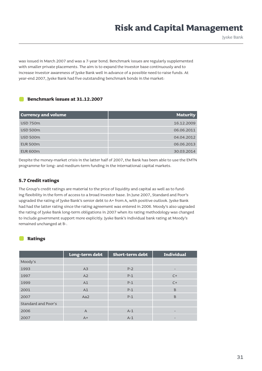Jyske Bank

was issued in March 2007 and was a 7-year bond. Benchmark issues are regularly supplemented with smaller private placements. The aim is to expand the investor base continuously and to increase investor awareness of Jyske Bank well in advance of a possible need to raise funds. At year-end 2007, Jyske Bank had five outstanding benchmark bonds in the market:

#### **Benchmark issues at 31.12.2007**

| <b>Currency and volume</b> | <b>Maturity</b> |
|----------------------------|-----------------|
| <b>USD 750m</b>            | 16.12.2009      |
| <b>USD 500m</b>            | 06.06.2011      |
| <b>USD 500m</b>            | 04.04.2012      |
| <b>EUR 500m</b>            | 06.06.2013      |
| <b>EUR 600m</b>            | 30.03.2014      |

Despite the money-market crisis in the latter half of 2007, the Bank has been able to use the EMTN programme for long- and medium-term funding in the international capital markets.

#### **5.7 Credit ratings**

The Group's credit ratings are material to the price of liquidity and capital as well as to funding flexibility in the form of access to a broad investor base. In June 2007, Standard and Poor's upgraded the rating of Jyske Bank's senior debt to A+ from A, with positive outlook. Jyske Bank had had the latter rating since the rating agreement was entered in 2006. Moody's also upgraded the rating of Jyske Bank long-term obligations in 2007 when its rating methodology was changed to include government support more explicitly. Jyske Bank's individual bank rating at Moody's remained unchanged at B-.

#### **Ratings**

|                            | Long-term debt | <b>Short-term debt</b> | <b>Individual</b> |
|----------------------------|----------------|------------------------|-------------------|
| Moody's                    |                |                        |                   |
| 1993                       | A3             | $P - 2$                |                   |
| 1997                       | A2             | $P-1$                  | $C+$              |
| 1999                       | A1             | $P-1$                  | $C+$              |
| 2001                       | A1             | $P-1$                  | B                 |
| 2007                       | Aa2            | $P-1$                  | B                 |
| <b>Standard and Poor's</b> |                |                        |                   |
| 2006                       | $\mathsf{A}$   | $A-1$                  |                   |
| 2007                       | $A+$           | $A-1$                  | -                 |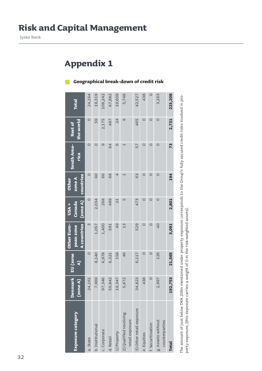### **Appendix 1**

### **Geographical break-down of credit risk**

|                                           |                             |                          | <b>Other Euro-</b>              | <b>USA</b> +            | <b>Other</b>          |                          |                      |              |
|-------------------------------------------|-----------------------------|--------------------------|---------------------------------|-------------------------|-----------------------|--------------------------|----------------------|--------------|
| <b>Exposure category</b>                  | <b>Denmark</b><br>(20n e A) | EU (zone<br>$\mathbf{S}$ | <b>A</b> countries<br>pean zone | $(2$ one $A)$<br>Canada | countries<br>zone A   | South Ame-<br>rica       | the world<br>Rest of | <b>Total</b> |
| a. State                                  | 24,161                      | $\circ$                  | $\infty$                        | $\circ$                 | $\circ$               | $\circ$                  | $\circ$              | 24,164       |
| b. Institutional                          | 7,969                       | 8,140                    | 1,057                           | 2,034                   | 60                    | $\circ$                  | 59                   | 19,319       |
| c. Corporate                              | 97,346                      | 6,978                    | 1,400                           | 268                     | 66                    | σ                        | 2,175                | 108,242      |
| d. Retail                                 | 59,842                      | 6,321                    | 591                             | 499                     | 68                    | 64                       | 497                  | 67,882       |
| 1) Property                               | 19,347                      | 158                      | $\frac{1}{2}$                   | $\overline{21}$         | 4                     | $\circ$                  | 24                   | 19,609       |
| 2) Qualified revolving<br>retail exposure | 5,672                       | 46                       | 13                              | LŊ                      | $\mathord{\text{--}}$ | $\overline{\phantom{0}}$ | $\infty$             | 5,746        |
| 3) Other retail exposure                  | 34,823                      | 6,117                    | 529                             | 473                     | 63                    | 57                       | 465                  | 42,527       |
| e. Equities                               | 438                         | $\circ$                  | $\circ$                         | $\circ$                 | $\circ$               | $\circ$                  | 0                    | 438          |
| f. Securitisation                         | $\circ$                     | $\circ$                  | $\circ$                         | $\circ$                 | $\circ$               | $\circ$                  | $\circ$              | $\circ$      |
| g. Assets without<br>counterparties       | 2,997                       | 126                      | $\overline{0}$                  | $\circ$                 | $\circ$               | $\circ$                  | $\circ$              | 3,163        |
| <b>Total</b>                              | 92,753                      | 21,565                   | 3,091                           | 2,801                   | 194                   | 73                       | 2,731                | 223,208      |
|                                           |                             |                          |                                 |                         |                       |                          |                      |              |

The amount of just below DKK 20bn mentioned under property exposure corresponds to the Group's fully secured credit risks involved in pro-The amount of just below DKK 20bn mentioned under property exposure corresponds to the Group's fully secured credit risks involved in property exposure, (this exposure carries a weight of 0 in the risk-weighted assets). perty exposure, (this exposure carries a weight of 0 in the risk-weighted assets).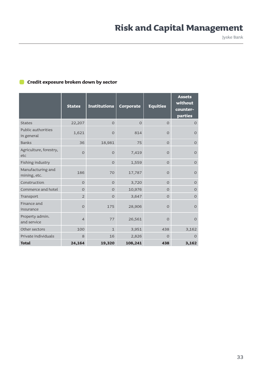Jyske Bank

#### **Credit exposure broken down by sector**

|                                   | <b>States</b>  | <b>Institutions</b> | Corporate | <b>Equities</b> | <b>Assets</b><br>without<br>counter-<br>parties |
|-----------------------------------|----------------|---------------------|-----------|-----------------|-------------------------------------------------|
| <b>States</b>                     | 22,207         | $\Omega$            | $\Omega$  | $\overline{O}$  | $\overline{O}$                                  |
| Public authorities<br>in general  | 1,621          | $\overline{O}$      | 814       | $\overline{O}$  | $\Omega$                                        |
| <b>Banks</b>                      | 36             | 18,981              | 75        | $\overline{O}$  | $\overline{O}$                                  |
| Agriculture, forestry,<br>etc     | $\Omega$       | $\Omega$            | 7,419     | $\overline{O}$  | $\Omega$                                        |
| Fishing industry                  |                | $\Omega$            | 1,559     | $\Omega$        | $\Omega$                                        |
| Manufacturing and<br>mining, etc. | 186            | 70                  | 17,787    | $\Omega$        | $\Omega$                                        |
| Construction                      | $\Omega$       | $\Omega$            | 3,720     | $\Omega$        | $\Omega$                                        |
| Commerce and hotel                | $\Omega$       | $\Omega$            | 10,976    | $\Omega$        | $\Omega$                                        |
| Transport                         | $\overline{2}$ | $\Omega$            | 3,647     | $\overline{O}$  | $\Omega$                                        |
| Finance and<br>insurance          | $\Omega$       | 175                 | 28,906    | $\Omega$        | $\Omega$                                        |
| Property admin.<br>and service    | $\overline{4}$ | 77                  | 26,561    | $\overline{O}$  | $\Omega$                                        |
| Other sectors                     | 100            | $\mathbf{1}$        | 3,951     | 438             | 3,162                                           |
| Private individuals               | 8              | 16                  | 2,826     | $\overline{O}$  | $\Omega$                                        |
| <b>Total</b>                      | 24,164         | 19,320              | 108,241   | 438             | 3,162                                           |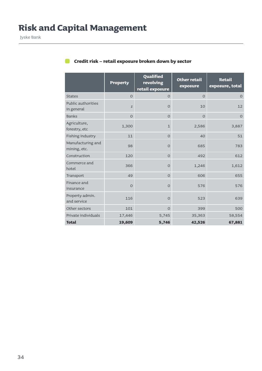|                                   | <b>Property</b> | Qualified<br>revolving<br>retail exposure | <b>Other retail</b><br>exposure | <b>Retail</b><br>exposure, total |
|-----------------------------------|-----------------|-------------------------------------------|---------------------------------|----------------------------------|
| <b>States</b>                     | $\overline{O}$  | $\overline{O}$                            | $\overline{O}$                  | $\overline{O}$                   |
| Public authorities<br>in general  | $\mathsf Z$     | $\Omega$                                  | 10                              | 12                               |
| <b>Banks</b>                      | $\Omega$        | $\overline{O}$                            | $\Omega$                        | $\overline{O}$                   |
| Agriculture,<br>forestry, etc     | 1,300           | $\mathbf{1}$                              | 2,586                           | 3,887                            |
| Fishing industry                  | 11              | $\Omega$                                  | 40                              | 51                               |
| Manufacturing and<br>mining, etc. | 98              | $\overline{O}$                            | 685                             | 783                              |
| Construction                      | 120             | $\Omega$                                  | 492                             | 612                              |
| Commerce and<br>hotel             | 366             | $\overline{O}$                            | 1,246                           | 1,612                            |
| Transport                         | 49              | $\overline{O}$                            | 606                             | 655                              |
| Finance and<br>insurance          | $\Omega$        | $\Omega$                                  | 576                             | 576                              |
| Property admin.<br>and service    | 116             | $\overline{O}$                            | 523                             | 639                              |
| Other sectors                     | 101             | $\Omega$                                  | 399                             | 500                              |
| Private individuals               | 17,446          | 5,745                                     | 35,363                          | 58,554                           |
| <b>Total</b>                      | 19,609          | 5,746                                     | 42,526                          | 67,881                           |

### **Credit risk – retail exposure broken down by sector**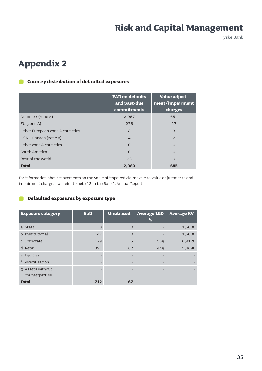Jyske Bank

### **Appendix 2**

#### **Country distribution of defaulted exposures**  $\blacksquare$

|                                 | <b>EAD on defaults</b><br>and past-due<br>commitments | Value adjust-<br>ment/impairment<br>charges |
|---------------------------------|-------------------------------------------------------|---------------------------------------------|
| Denmark (zone A)                | 2,067                                                 | 654                                         |
| $EU$ (zone A)                   | 276                                                   | 17                                          |
| Other European zone A countries | 8                                                     | 3                                           |
| USA + Canada (zone A)           | $\overline{4}$                                        | $\mathcal{P}$                               |
| Other zone A countries          | $\Omega$                                              | $\Omega$                                    |
| South America                   | $\Omega$                                              | $\Omega$                                    |
| Rest of the world               | 25                                                    | 9                                           |
| <b>Total</b>                    | 2,380                                                 | 685                                         |

For information about movements on the value of impaired claims due to value adjustments and impairment charges, we refer to note 13 in the Bank's Annual Report.

#### **Defaulted exposures by exposure type** n a

| <b>Exposure category</b>            | EaD                      | <b>Unutilised</b> | <b>Average LGD</b><br>$\%$ | <b>Average RV</b> |
|-------------------------------------|--------------------------|-------------------|----------------------------|-------------------|
| a. State                            | $\circ$                  | $\Omega$          |                            | 1,5000            |
| b. Institutional                    | 142                      | $\Omega$          |                            | 1,5000            |
| c. Corporate                        | 179                      | 5                 | 58%                        | 6,9120            |
| d. Retail                           | 391                      | 62                | 44%                        | 5,4896            |
| e. Equities                         | $\overline{\phantom{m}}$ | $\qquad \qquad$   |                            |                   |
| f. Securitisation                   |                          |                   |                            |                   |
| g. Assets without<br>counterparties | $\overline{\phantom{0}}$ |                   |                            |                   |
| <b>Total</b>                        | 712                      | 67                |                            |                   |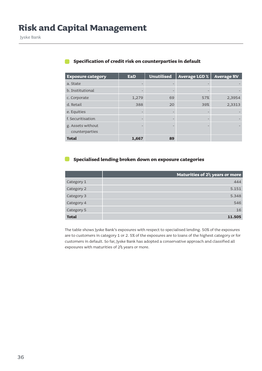| <b>Exposure category</b>            | EaD   | <b>Unutilised</b> | <b>Average LGD %</b> | <b>Average RV</b> |
|-------------------------------------|-------|-------------------|----------------------|-------------------|
| a. State                            |       |                   |                      |                   |
| b. Institutional                    |       |                   | -                    |                   |
| c. Corporate                        | 1,279 | 69                | 57%                  | 2,3954            |
| d. Retail                           | 388   | 20                | 39%                  | 2,3313            |
| e. Equities                         |       |                   |                      |                   |
| f. Securitisation                   |       |                   |                      |                   |
| g. Assets without<br>counterparties |       |                   | ۰                    |                   |
| <b>Total</b>                        | 1,667 | 89                |                      |                   |

#### **Specification of credit risk on counterparties in default**

#### **Specialised lending broken down on exposure categories**

|              | Maturities of $2\frac{1}{2}$ years or more |
|--------------|--------------------------------------------|
| Category 1   | 444                                        |
| Category 2   | 5.151                                      |
| Category 3   | 5.348                                      |
| Category 4   | 546                                        |
| Category 5   | 16                                         |
| <b>Total</b> | 11.505                                     |

The table shows Jyske Bank's exposures with respect to specialised lending. 50% of the exposures are to customers in category 1 or 2. 5% of the exposures are to loans of the highest category or for customers in default. So far, Jyske Bank has adopted a conservative approach and classified all exposures with maturities of 2½ years or more.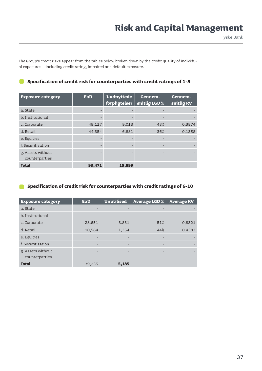The Group's credit risks appear from the tables below broken down by the credit quality of individual exposures – including credit rating, impaired and default exposure.

| <b>Exposure category</b>            | <b>EaD</b> | <b>Uudnyttede</b><br>forpligtelser | Gennem-<br>snitlig LGD % | Gennem-<br>snitlig RV |
|-------------------------------------|------------|------------------------------------|--------------------------|-----------------------|
| a. State                            |            |                                    |                          |                       |
| b. Institutional                    |            |                                    |                          |                       |
| c. Corporate                        | 49,117     | 9,018                              | 48%                      | 0,3974                |
| d. Retail                           | 44,354     | 6,881                              | 36%                      | 0,1358                |
| e. Equities                         |            |                                    |                          |                       |
| f. Securitisation                   |            |                                    |                          |                       |
| g. Assets without<br>counterparties |            |                                    |                          |                       |
| <b>Total</b>                        | 93,471     | 15,899                             |                          |                       |

#### **Specification of credit risk for counterparties with credit ratings of 1-5**

#### **Specification of credit risk for counterparties with credit ratings of 6-10**

| <b>Exposure category</b>            | <b>EaD</b> | <b>Unutilised</b> | <b>Average LGD %</b> | <b>Average RV</b> |
|-------------------------------------|------------|-------------------|----------------------|-------------------|
| a. State                            |            |                   |                      |                   |
| b. Institutional                    |            |                   |                      |                   |
| c. Corporate                        | 28,651     | 3.831             | 51%                  | 0,8321            |
| d. Retail                           | 10,584     | 1,354             | 44%                  | 0.4383            |
| e. Equities                         |            |                   |                      |                   |
| f. Securitisation                   |            |                   |                      |                   |
| g. Assets without<br>counterparties |            |                   |                      |                   |
| <b>Total</b>                        | 39,235     | 5,185             |                      |                   |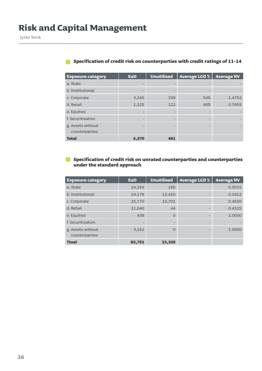| <b>Exposure category</b>            | <b>EaD</b> | <b>Unutilised</b> | <b>Average LGD %</b> | <b>Average RV</b> |
|-------------------------------------|------------|-------------------|----------------------|-------------------|
| a. State                            |            |                   |                      |                   |
| b. Institutional                    |            |                   |                      |                   |
| c. Corporate                        | 3,245      | 339               | 54%                  | 1.4752            |
| d. Retail                           | 1,125      | 122               | 46%                  | 0.7855            |
| e. Equities                         |            | $\qquad \qquad -$ |                      |                   |
| f. Securitisation                   |            |                   |                      |                   |
| g. Assets without<br>counterparties |            |                   |                      |                   |
| <b>Total</b>                        | 4,370      | 461               |                      |                   |

#### **Specification of credit risk on counterparties with credit ratings of 11-14**

#### **Specification of credit risk on unrated counterparties and counterparties under the standard approach**

| <b>Exposure category</b>            | EaD    | <b>Unutilised</b> | <b>Average LGD %</b> | <b>Average RV</b> |
|-------------------------------------|--------|-------------------|----------------------|-------------------|
| a. State                            | 24,163 | 180               |                      | 0.0015            |
| b. Institutional                    | 19,178 | 12,410            |                      | 0.1912            |
| c. Corporate                        | 25,770 | 10,701            |                      | 0.4650            |
| d. Retail                           | 11,040 | 44                |                      | 0.4325            |
| e. Equities                         | 438    | $\Omega$          |                      | 1.0000            |
| f. Securitisation                   |        |                   |                      |                   |
| g. Assets without<br>counterparties | 3,162  | $\Omega$          |                      | 1.0000            |
| <b>Ttoal</b>                        | 83,751 | 23,335            |                      |                   |